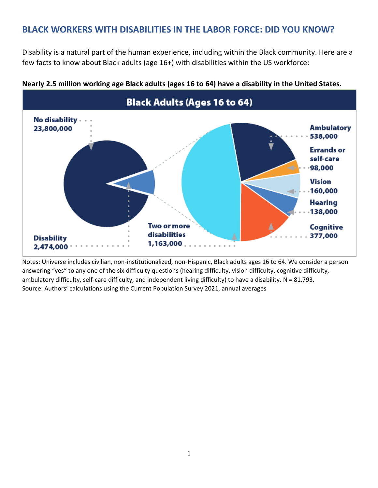## **BLACK WORKERS WITH DISABILITIES IN THE LABOR FORCE: DID YOU KNOW?**

Disability is a natural part of the human experience, including within the Black community. Here are a few facts to know about Black adults (age 16+) with disabilities within the US workforce:



**Nearly 2.5 million working age Black adults (ages 16 to 64) have a disability in the United States.**

Notes: Universe includes civilian, non-institutionalized, non-Hispanic, Black adults ages 16 to 64. We consider a person answering "yes" to any one of the six difficulty questions (hearing difficulty, vision difficulty, cognitive difficulty, ambulatory difficulty, self-care difficulty, and independent living difficulty) to have a disability.  $N = 81,793$ . Source: Authors' calculations using the Current Population Survey 2021, annual averages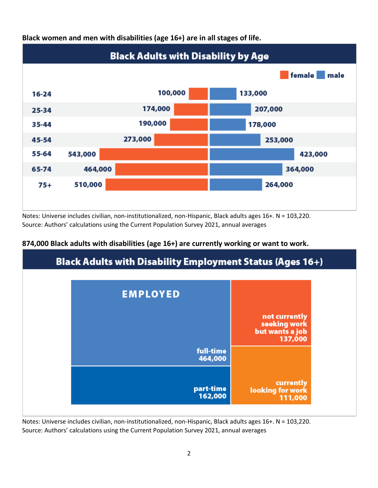

**Black women and men with disabilities (age 16+) are in all stages of life.** 

Notes: Universe includes civilian, non-institutionalized, non-Hispanic, Black adults ages 16+. N = 103,220. Source: Authors' calculations using the Current Population Survey 2021, annual averages



### **874,000 Black adults with disabilities (age 16+) are currently working or want to work.**

Notes: Universe includes civilian, non-institutionalized, non-Hispanic, Black adults ages 16+. N = 103,220. Source: Authors' calculations using the Current Population Survey 2021, annual averages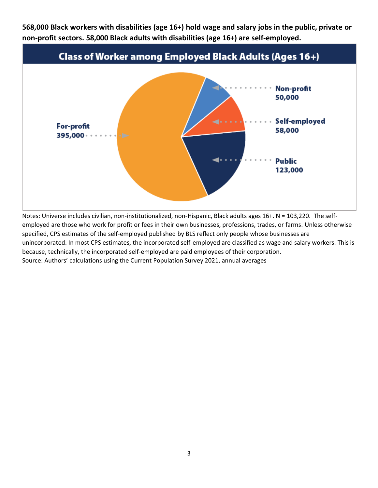**568,000 Black workers with disabilities (age 16+) hold wage and salary jobs in the public, private or non-profit sectors. 58,000 Black adults with disabilities (age 16+) are self-employed.**



Notes: Universe includes civilian, non-institutionalized, non-Hispanic, Black adults ages 16+. N = 103,220. The selfemployed are those who work for profit or fees in their own businesses, professions, trades, or farms. Unless otherwise specified, CPS estimates of the self-employed published by BLS reflect only people whose businesses are unincorporated. In most CPS estimates, the incorporated self-employed are classified as wage and salary workers. This is because, technically, the incorporated self-employed are paid employees of their corporation. Source: Authors' calculations using the Current Population Survey 2021, annual averages